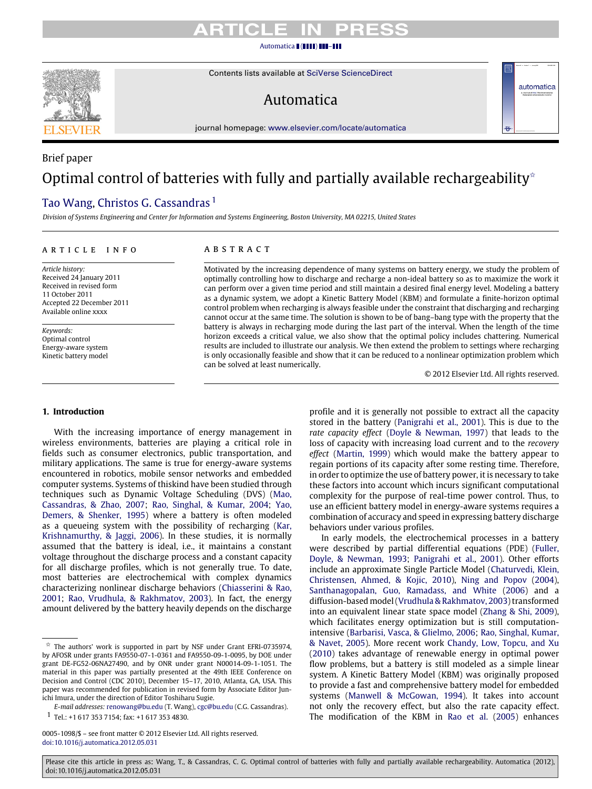# TICL F

#### [Automatica](http://dx.doi.org/10.1016/j.automatica.2012.05.031) ( ( **1111) 111-111**

Contents lists available at [SciVerse ScienceDirect](http://www.elsevier.com/locate/automatica)

# Automatica

journal homepage: [www.elsevier.com/locate/automatica](http://www.elsevier.com/locate/automatica)

# Brief paper Optimal control of batteries with fully and partially available rechargeability $\hat{z}$

## [Tao Wang,](#page-8-0) [Christos G. Cassandras](#page-8-1)<sup>[1](#page-0-1)</sup>

*Division of Systems Engineering and Center for Information and Systems Engineering, Boston University, MA 02215, United States*

#### a r t i c l e i n f o

*Article history:* Received 24 January 2011 Received in revised form 11 October 2011 Accepted 22 December 2011 Available online xxxx

*Keywords:* Optimal control Energy-aware system Kinetic battery model

### A B S T R A C T

Motivated by the increasing dependence of many systems on battery energy, we study the problem of optimally controlling how to discharge and recharge a non-ideal battery so as to maximize the work it can perform over a given time period and still maintain a desired final energy level. Modeling a battery as a dynamic system, we adopt a Kinetic Battery Model (KBM) and formulate a finite-horizon optimal control problem when recharging is always feasible under the constraint that discharging and recharging cannot occur at the same time. The solution is shown to be of bang–bang type with the property that the battery is always in recharging mode during the last part of the interval. When the length of the time horizon exceeds a critical value, we also show that the optimal policy includes chattering. Numerical results are included to illustrate our analysis. We then extend the problem to settings where recharging is only occasionally feasible and show that it can be reduced to a nonlinear optimization problem which can be solved at least numerically.

© 2012 Elsevier Ltd. All rights reserved.

#### **1. Introduction**

With the increasing importance of energy management in wireless environments, batteries are playing a critical role in fields such as consumer electronics, public transportation, and military applications. The same is true for energy-aware systems encountered in robotics, mobile sensor networks and embedded computer systems. Systems of thiskind have been studied through techniques such as Dynamic Voltage Scheduling (DVS) [\(Mao,](#page-8-2) [Cassandras,](#page-8-2) [&](#page-8-2) [Zhao,](#page-8-2) [2007;](#page-8-2) [Rao,](#page-8-3) [Singhal,](#page-8-3) [&](#page-8-3) [Kumar,](#page-8-3) [2004;](#page-8-3) [Yao,](#page-8-4) [Demers,](#page-8-4) [&](#page-8-4) [Shenker,](#page-8-4) [1995\)](#page-8-4) where a battery is often modeled as a queueing system with the possibility of recharging [\(Kar,](#page-8-5) [Krishnamurthy,](#page-8-5) [&](#page-8-5) [Jaggi,](#page-8-5) [2006\)](#page-8-5). In these studies, it is normally assumed that the battery is ideal, i.e., it maintains a constant voltage throughout the discharge process and a constant capacity for all discharge profiles, which is not generally true. To date, most batteries are electrochemical with complex dynamics characterizing nonlinear discharge behaviors [\(Chiasserini](#page-7-0) [&](#page-7-0) [Rao,](#page-7-0) [2001;](#page-7-0) [Rao,](#page-8-6) [Vrudhula,](#page-8-6) [&](#page-8-6) [Rakhmatov,](#page-8-6) [2003\)](#page-8-6). In fact, the energy amount delivered by the battery heavily depends on the discharge profile and it is generally not possible to extract all the capacity stored in the battery [\(Panigrahi](#page-8-7) [et al.,](#page-8-7) [2001\)](#page-8-7). This is due to the *rate capacity effect* [\(Doyle](#page-7-1) [&](#page-7-1) [Newman,](#page-7-1) [1997\)](#page-7-1) that leads to the loss of capacity with increasing load current and to the *recovery effect* [\(Martin,](#page-8-8) [1999\)](#page-8-8) which would make the battery appear to regain portions of its capacity after some resting time. Therefore, in order to optimize the use of battery power, it is necessary to take these factors into account which incurs significant computational complexity for the purpose of real-time power control. Thus, to use an efficient battery model in energy-aware systems requires a combination of accuracy and speed in expressing battery discharge behaviors under various profiles.

In early models, the electrochemical processes in a battery were described by partial differential equations (PDE) [\(Fuller,](#page-8-9) [Doyle,](#page-8-9) [&](#page-8-9) [Newman,](#page-8-9) [1993;](#page-8-9) [Panigrahi](#page-8-7) [et al.,](#page-8-7) [2001\)](#page-8-7). Other efforts include an approximate Single Particle Model [\(Chaturvedi,](#page-7-2) [Klein,](#page-7-2) [Christensen,](#page-7-2) [Ahmed,](#page-7-2) [&](#page-7-2) [Kojic,](#page-7-2) [2010\)](#page-7-2), [Ning](#page-8-10) [and](#page-8-10) [Popov](#page-8-10) [\(2004\)](#page-8-10), [Santhanagopalan,](#page-8-11) [Guo,](#page-8-11) [Ramadass,](#page-8-11) [and](#page-8-11) [White](#page-8-11) [\(2006\)](#page-8-11) and a diffusion-based model [\(Vrudhula&Rakhmatov,](#page-8-12) [2003\)](#page-8-12) transformed into an equivalent linear state space model [\(Zhang](#page-8-13) [&](#page-8-13) [Shi,](#page-8-13) [2009\)](#page-8-13), which facilitates energy optimization but is still computationintensive [\(Barbarisi,](#page-7-3) [Vasca,](#page-7-3) [&](#page-7-3) [Glielmo,](#page-7-3) [2006;](#page-7-3) [Rao,](#page-8-14) [Singhal,](#page-8-14) [Kumar,](#page-8-14) [&](#page-8-14) [Navet,](#page-8-14) [2005\)](#page-8-14). More recent work [Chandy,](#page-7-4) [Low,](#page-7-4) [Topcu,](#page-7-4) [and](#page-7-4) [Xu](#page-7-4) [\(2010\)](#page-7-4) takes advantage of renewable energy in optimal power flow problems, but a battery is still modeled as a simple linear system. A Kinetic Battery Model (KBM) was originally proposed to provide a fast and comprehensive battery model for embedded systems [\(Manwell](#page-8-15) [&](#page-8-15) [McGowan,](#page-8-15) [1994\)](#page-8-15). It takes into account not only the recovery effect, but also the rate capacity effect. The modification of the KBM in [Rao](#page-8-14) [et al.](#page-8-14) [\(2005\)](#page-8-14) enhances

#### Please cite this article in press as: Wang, T., & Cassandras, C. G. Optimal control of batteries with fully and partially available rechargeability. Automatica (2012), doi:10.1016/j.automatica.2012.05.031



automatica

<span id="page-0-0"></span> $\overrightarrow{x}$  The authors' work is supported in part by NSF under Grant EFRI-0735974, by AFOSR under grants FA9550-07-1-0361 and FA9550-09-1-0095, by DOE under grant DE-FG52-06NA27490, and by ONR under grant N00014-09-1-1051. The material in this paper was partially presented at the 49th IEEE Conference on Decision and Control (CDC 2010), December 15–17, 2010, Atlanta, GA, USA. This paper was recommended for publication in revised form by Associate Editor Junichi Imura, under the direction of Editor Toshiharu Sugie.

*E-mail addresses:* [renowang@bu.edu](mailto:renowang@bu.edu) (T. Wang), [cgc@bu.edu](mailto:cgc@bu.edu) (C.G. Cassandras).

<span id="page-0-1"></span><sup>1</sup> Tel.: +1 617 353 7154; fax: +1 617 353 4830.

<sup>0005-1098/\$ –</sup> see front matter © 2012 Elsevier Ltd. All rights reserved. [doi:10.1016/j.automatica.2012.05.031](http://dx.doi.org/10.1016/j.automatica.2012.05.031)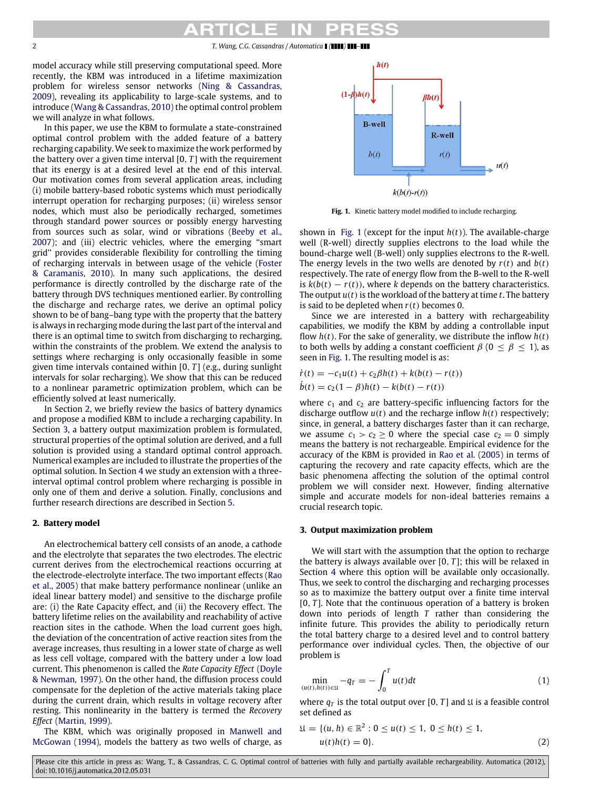2 *T. Wang, C.G. Cassandras / Automatica ( ) –*

model accuracy while still preserving computational speed. More recently, the KBM was introduced in a lifetime maximization problem for wireless sensor networks [\(Ning](#page-8-16) [&](#page-8-16) [Cassandras,](#page-8-16) [2009\)](#page-8-16), revealing its applicability to large-scale systems, and to introduce [\(Wang](#page-8-17) [&](#page-8-17) [Cassandras,](#page-8-17) [2010\)](#page-8-17) the optimal control problem we will analyze in what follows.

In this paper, we use the KBM to formulate a state-constrained optimal control problem with the added feature of a battery recharging capability. We seek to maximize the work performed by the battery over a given time interval [0, *T* ] with the requirement that its energy is at a desired level at the end of this interval. Our motivation comes from several application areas, including (i) mobile battery-based robotic systems which must periodically interrupt operation for recharging purposes; (ii) wireless sensor nodes, which must also be periodically recharged, sometimes through standard power sources or possibly energy harvesting from sources such as solar, wind or vibrations [\(Beeby](#page-7-5) [et al.,](#page-7-5) [2007\)](#page-7-5); and (iii) electric vehicles, where the emerging ''smart grid'' provides considerable flexibility for controlling the timing of recharging intervals in between usage of the vehicle [\(Foster](#page-7-6) [&](#page-7-6) [Caramanis,](#page-7-6) [2010\)](#page-7-6). In many such applications, the desired performance is directly controlled by the discharge rate of the battery through DVS techniques mentioned earlier. By controlling the discharge and recharge rates, we derive an optimal policy shown to be of bang–bang type with the property that the battery is always in recharging mode during the last part of the interval and there is an optimal time to switch from discharging to recharging, within the constraints of the problem. We extend the analysis to settings where recharging is only occasionally feasible in some given time intervals contained within [0, *T* ] (e.g., during sunlight intervals for solar recharging). We show that this can be reduced to a nonlinear parametric optimization problem, which can be efficiently solved at least numerically.

In Section [2,](#page-1-0) we briefly review the basics of battery dynamics and propose a modified KBM to include a recharging capability. In Section [3,](#page-1-1) a battery output maximization problem is formulated, structural properties of the optimal solution are derived, and a full solution is provided using a standard optimal control approach. Numerical examples are included to illustrate the properties of the optimal solution. In Section [4](#page-6-0) we study an extension with a threeinterval optimal control problem where recharging is possible in only one of them and derive a solution. Finally, conclusions and further research directions are described in Section [5.](#page-7-7)

#### <span id="page-1-0"></span>**2. Battery model**

An electrochemical battery cell consists of an anode, a cathode and the electrolyte that separates the two electrodes. The electric current derives from the electrochemical reactions occurring at the electrode-electrolyte interface. The two important effects [\(Rao](#page-8-14) [et al.,](#page-8-14) [2005\)](#page-8-14) that make battery performance nonlinear (unlike an ideal linear battery model) and sensitive to the discharge profile are: (i) the Rate Capacity effect, and (ii) the Recovery effect. The battery lifetime relies on the availability and reachability of active reaction sites in the cathode. When the load current goes high, the deviation of the concentration of active reaction sites from the average increases, thus resulting in a lower state of charge as well as less cell voltage, compared with the battery under a low load current. This phenomenon is called the *Rate Capacity Effect* [\(Doyle](#page-7-1) [&](#page-7-1) [Newman,](#page-7-1) [1997\)](#page-7-1). On the other hand, the diffusion process could compensate for the depletion of the active materials taking place during the current drain, which results in voltage recovery after resting. This nonlinearity in the battery is termed the *Recovery Effect* [\(Martin,](#page-8-8) [1999\)](#page-8-8).

The KBM, which was originally proposed in [Manwell](#page-8-15) [and](#page-8-15) [McGowan](#page-8-15) [\(1994\)](#page-8-15), models the battery as two wells of charge, as

<span id="page-1-2"></span>

**Fig. 1.** Kinetic battery model modified to include recharging.

shown in [Fig. 1](#page-1-2) (except for the input  $h(t)$ ). The available-charge well (R-well) directly supplies electrons to the load while the bound-charge well (B-well) only supplies electrons to the R-well. The energy levels in the two wells are denoted by  $r(t)$  and  $b(t)$ respectively. The rate of energy flow from the B-well to the R-well is  $k(b(t) - r(t))$ , where *k* depends on the battery characteristics. The output  $u(t)$  is the workload of the battery at time  $t$ . The battery is said to be depleted when *r*(*t*) becomes 0.

Since we are interested in a battery with rechargeability capabilities, we modify the KBM by adding a controllable input flow  $h(t)$ . For the sake of generality, we distribute the inflow  $h(t)$ to both wells by adding a constant coefficient  $\beta$  ( $0 \leq \beta \leq 1$ ), as seen in [Fig. 1.](#page-1-2) The resulting model is as:

$$
\dot{r}(t) = -c_1 u(t) + c_2 \beta h(t) + k(b(t) - r(t))
$$
  

$$
\dot{b}(t) = c_2 (1 - \beta) h(t) - k(b(t) - r(t))
$$

where  $c_1$  and  $c_2$  are battery-specific influencing factors for the discharge outflow  $u(t)$  and the recharge inflow  $h(t)$  respectively; since, in general, a battery discharges faster than it can recharge, we assume  $c_1 > c_2 \ge 0$  where the special case  $c_2 = 0$  simply means the battery is not rechargeable. Empirical evidence for the accuracy of the KBM is provided in [Rao](#page-8-14) [et al.](#page-8-14) [\(2005\)](#page-8-14) in terms of capturing the recovery and rate capacity effects, which are the basic phenomena affecting the solution of the optimal control problem we will consider next. However, finding alternative simple and accurate models for non-ideal batteries remains a crucial research topic.

#### <span id="page-1-1"></span>**3. Output maximization problem**

We will start with the assumption that the option to recharge the battery is always available over [0, *T* ]; this will be relaxed in Section [4](#page-6-0) where this option will be available only occasionally. Thus, we seek to control the discharging and recharging processes so as to maximize the battery output over a finite time interval [0, *T* ]. Note that the continuous operation of a battery is broken down into periods of length *T* rather than considering the infinite future. This provides the ability to periodically return the total battery charge to a desired level and to control battery performance over individual cycles. Then, the objective of our problem is

<span id="page-1-3"></span>
$$
\min_{(u(t),h(t))\in\mathfrak{U}} -q_T = -\int_0^T u(t)dt\tag{1}
$$

where  $q_T$  is the total output over [0, *T*] and  $\mathfrak U$  is a feasible control set defined as

<span id="page-1-4"></span>
$$
\mathfrak{U} = \{ (u, h) \in \mathbb{R}^2 : 0 \le u(t) \le 1, \ 0 \le h(t) \le 1, \ u(t)h(t) = 0 \}. \tag{2}
$$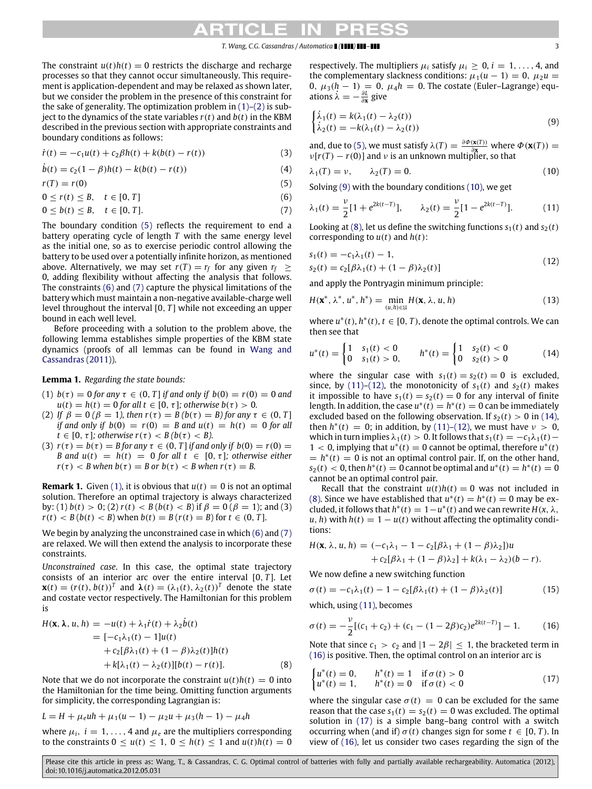The constraint  $u(t)h(t) = 0$  restricts the discharge and recharge processes so that they cannot occur simultaneously. This requirement is application-dependent and may be relaxed as shown later, but we consider the problem in the presence of this constraint for the sake of generality. The optimization problem in  $(1)$ – $(2)$  is subject to the dynamics of the state variables  $r(t)$  and  $b(t)$  in the KBM described in the previous section with appropriate constraints and boundary conditions as follows:

$$
\dot{r}(t) = -c_1 u(t) + c_2 \beta h(t) + k(b(t) - r(t))
$$
\n(3)

 $\dot{b}(t) = c_2(1 - \beta)h(t) - k(b(t) - r(t))$  (4)

 $r(T) = r(0)$  (5)

$$
0 \le r(t) \le B, \quad t \in [0, T]
$$
\n
$$
(6)
$$

$$
0 \leq b(t) \leq B, \quad t \in [0, T]. \tag{7}
$$

The boundary condition [\(5\)](#page-2-0) reflects the requirement to end a battery operating cycle of length *T* with the same energy level as the initial one, so as to exercise periodic control allowing the battery to be used over a potentially infinite horizon, as mentioned above. Alternatively, we may set  $r(T) = r_f$  for any given  $r_f \geq$ 0, adding flexibility without affecting the analysis that follows. The constraints [\(6\)](#page-2-1) and [\(7\)](#page-2-2) capture the physical limitations of the battery which must maintain a non-negative available-charge well level throughout the interval [0, *T* ] while not exceeding an upper bound in each well level.

Before proceeding with a solution to the problem above, the following lemma establishes simple properties of the KBM state dynamics (proofs of all lemmas can be found in [Wang](#page-8-18) [and](#page-8-18) [Cassandras](#page-8-18) [\(2011\)](#page-8-18)).

### <span id="page-2-13"></span>**Lemma 1.** *Regarding the state bounds:*

- (1)  $b(\tau) = 0$  for any  $\tau \in (0, T]$  *if and only if*  $b(0) = r(0) = 0$  and  $u(t) = h(t) = 0$  *for all t*  $\in [0, \tau]$ *; otherwise b*( $\tau$ ) > 0*.*
- (2) *If*  $β = 0 (β = 1)$ , then  $r(τ) = B (b(τ) = B)$  for any  $τ ∈ (0, T]$ *if and only if*  $b(0) = r(0) = B$  *and*  $u(t) = h(t) = 0$  *for all*  $t \in [0, \tau]$ *; otherwise*  $r(\tau) < B$  ( $b(\tau) < B$ ).
- (3)  $r(\tau) = b(\tau) = B$  for any  $\tau \in (0, T]$  *if and only if*  $b(0) = r(0) =$ *B* and  $u(t) = h(t) = 0$  for all  $t \in [0, \tau]$ ; otherwise either  $r(\tau) < B$  when  $b(\tau) = B$  or  $b(\tau) < B$  when  $r(\tau) = B$ .

<span id="page-2-14"></span>**Remark 1.** Given [\(1\),](#page-1-3) it is obvious that  $u(t) = 0$  is not an optimal solution. Therefore an optimal trajectory is always characterized by: (1)  $b(t) > 0$ ; (2)  $r(t) < B$  ( $b(t) < B$ ) if  $\beta = 0$  ( $\beta = 1$ ); and (3)  $r(t) < B(b(t) < B)$  when  $b(t) = B(r(t) = B)$  for  $t \in (0, T]$ .

We begin by analyzing the unconstrained case in which [\(6\)](#page-2-1) and [\(7\)](#page-2-2) are relaxed. We will then extend the analysis to incorporate these constraints.

*Unconstrained case*. In this case, the optimal state trajectory consists of an interior arc over the entire interval [0, *T* ]. Let  $\mathbf{x}(t) = (r(t), b(t))^T$  and  $\lambda(t) = (\lambda_1(t), \lambda_2(t))^T$  denote the state and costate vector respectively. The Hamiltonian for this problem is

$$
H(\mathbf{x}, \lambda, u, h) = -u(t) + \lambda_1 \dot{r}(t) + \lambda_2 \dot{b}(t)
$$
  
= [-c<sub>1</sub>\lambda<sub>1</sub>(t) - 1]u(t)  
+ c<sub>2</sub>[\beta\lambda<sub>1</sub>(t) + (1 - \beta)\lambda<sub>2</sub>(t)]h(t)  
+ k[\lambda<sub>1</sub>(t) - \lambda<sub>2</sub>(t)][b(t) - r(t)]. \t(8)

Note that we do not incorporate the constraint  $u(t)h(t) = 0$  into the Hamiltonian for the time being. Omitting function arguments for simplicity, the corresponding Lagrangian is:

$$
L = H + \mu_e uh + \mu_1 (u - 1) - \mu_2 u + \mu_3 (h - 1) - \mu_4 h
$$

where  $\mu_i$ ,  $i = 1, \ldots, 4$  and  $\mu_e$  are the multipliers corresponding to the constraints  $0 \le u(t) \le 1$ ,  $0 \le h(t) \le 1$  and  $u(t)h(t) = 0$  respectively. The multipliers  $\mu_i$  satisfy  $\mu_i \geq 0$ ,  $i = 1, \ldots, 4$ , and the complementary slackness conditions:  $\mu_1(u - 1) = 0$ ,  $\mu_2 u =$ 0,  $\mu_3(h − 1) = 0$ ,  $\mu_4h = 0$ . The costate (Euler–Lagrange) equations  $\dot{\lambda} = -\frac{\partial L}{\partial x}$  give

<span id="page-2-3"></span>
$$
\begin{cases}\n\dot{\lambda}_1(t) = k(\lambda_1(t) - \lambda_2(t)) \\
\dot{\lambda}_2(t) = -k(\lambda_1(t) - \lambda_2(t))\n\end{cases}
$$
\n(9)

<span id="page-2-11"></span>and, due to [\(5\),](#page-2-0) we must satisfy  $\lambda(T) = \frac{\partial \Phi(x(T))}{\partial x}$  where  $\Phi(x(T)) =$  $v[r(T) - r(0)]$  and v is an unknown multiplier, so that

<span id="page-2-12"></span>
$$
\lambda_1(T) = \nu, \qquad \lambda_2(T) = 0. \tag{10}
$$

<span id="page-2-4"></span><span id="page-2-0"></span>Solving [\(9\)](#page-2-3) with the boundary conditions [\(10\),](#page-2-4) we get

<span id="page-2-6"></span><span id="page-2-2"></span><span id="page-2-1"></span>
$$
\lambda_1(t) = \frac{\nu}{2} [1 + e^{2k(t-T)}], \qquad \lambda_2(t) = \frac{\nu}{2} [1 - e^{2k(t-T)}]. \tag{11}
$$

Looking at [\(8\),](#page-2-5) let us define the switching functions  $s_1(t)$  and  $s_2(t)$ corresponding to  $u(t)$  and  $h(t)$ :

<span id="page-2-7"></span>
$$
s_1(t) = -c_1\lambda_1(t) - 1,
$$
  
\n
$$
s_2(t) = c_2[\beta\lambda_1(t) + (1 - \beta)\lambda_2(t)]
$$
\n(12)

and apply the Pontryagin minimum principle:

$$
H(\mathbf{x}^*, \lambda^*, u^*, h^*) = \min_{(u,h)\in\mathfrak{U}} H(\mathbf{x}, \lambda, u, h)
$$
\n(13)

where  $u^*(t)$ ,  $h^*(t)$ ,  $t \in [0, T)$ , denote the optimal controls. We can then see that

<span id="page-2-8"></span>
$$
u^*(t) = \begin{cases} 1 & s_1(t) < 0 \\ 0 & s_1(t) > 0, \end{cases} \qquad h^*(t) = \begin{cases} 1 & s_2(t) < 0 \\ 0 & s_2(t) > 0 \end{cases}
$$
(14)

where the singular case with  $s_1(t) = s_2(t) = 0$  is excluded, since, by [\(11\)–](#page-2-6)[\(12\),](#page-2-7) the monotonicity of  $s_1(t)$  and  $s_2(t)$  makes it impossible to have  $s_1(t) = s_2(t) = 0$  for any interval of finite length. In addition, the case  $u^*(t) = h^*(t) = 0$  can be immediately excluded based on the following observation. If  $s_2(t) > 0$  in [\(14\),](#page-2-8) then  $h^*(t) = 0$ ; in addition, by [\(11\)](#page-2-6)[–\(12\),](#page-2-7) we must have  $v > 0$ , which in turn implies  $\lambda_1(t) > 0$ . It follows that  $s_1(t) = -c_1\lambda_1(t) -$ 1 < 0, implying that  $u^*(t) = 0$  cannot be optimal, therefore  $u^*(t)$  $= h^*(t) = 0$  is not an optimal control pair. If, on the other hand,  $s_2(t) < 0$ , then  $h^*(t) = 0$  cannot be optimal and  $u^*(t) = h^*(t) = 0$ cannot be an optimal control pair.

Recall that the constraint  $u(t)h(t) = 0$  was not included in [\(8\).](#page-2-5) Since we have established that  $u^*(t) = h^*(t) = 0$  may be excluded, it follows that  $h^*(t) = 1 - u^*(t)$  and we can rewrite  $H(x, \lambda, \lambda)$ *u*, *h*) with  $h(t) = 1 - u(t)$  without affecting the optimality conditions:

$$
H(\mathbf{x}, \lambda, u, h) = (-c_1\lambda_1 - 1 - c_2[\beta\lambda_1 + (1 - \beta)\lambda_2])u + c_2[\beta\lambda_1 + (1 - \beta)\lambda_2] + k(\lambda_1 - \lambda_2)(b - r).
$$

We now define a new switching function

$$
\sigma(t) = -c_1 \lambda_1(t) - 1 - c_2[\beta \lambda_1(t) + (1 - \beta)\lambda_2(t)]
$$
\nwhich, using (11), becomes

\n
$$
\sigma(t) = -c_1 \lambda_1(t) - 1 - c_2[\beta \lambda_1(t) + (1 - \beta)\lambda_2(t)]
$$

<span id="page-2-9"></span>
$$
\sigma(t) = -\frac{\nu}{2} [(c_1 + c_2) + (c_1 - (1 - 2\beta)c_2)e^{2k(t - T)}] - 1.
$$
 (16)

Note that since  $c_1 > c_2$  and  $|1 - 2\beta| \leq 1$ , the bracketed term in [\(16\)](#page-2-9) is positive. Then, the optimal control on an interior arc is

<span id="page-2-10"></span><span id="page-2-5"></span>
$$
\begin{cases}\nu^*(t) = 0, & h^*(t) = 1 \text{ if } \sigma(t) > 0 \\
u^*(t) = 1, & h^*(t) = 0 \text{ if } \sigma(t) < 0\n\end{cases}
$$
\n(17)

where the singular case  $\sigma(t) = 0$  can be excluded for the same reason that the case  $s_1(t) = s_2(t) = 0$  was excluded. The optimal solution in [\(17\)](#page-2-10) is a simple bang–bang control with a switch occurring when (and if)  $\sigma(t)$  changes sign for some  $t \in [0, T)$ . In view of [\(16\),](#page-2-9) let us consider two cases regarding the sign of the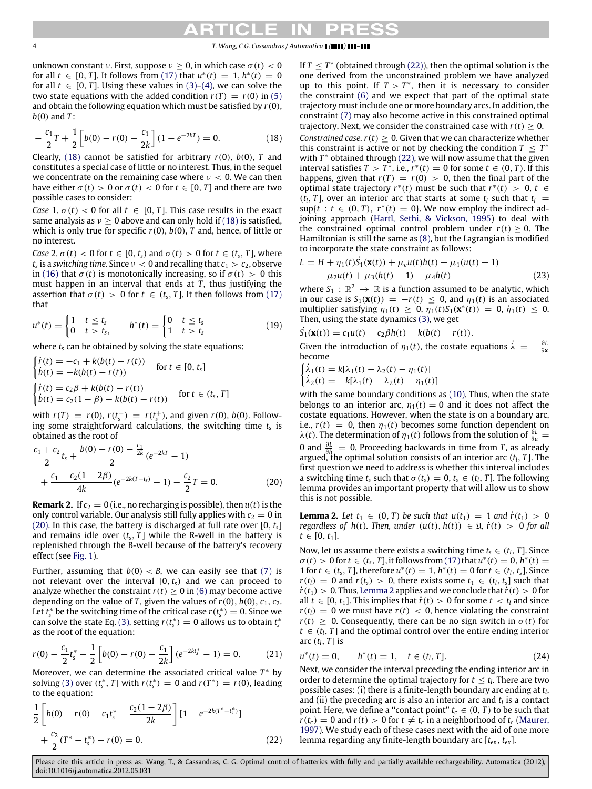# **Ked**

#### 4 *T. Wang, C.G. Cassandras / Automatica ( ) –*

unknown constant *ν*. First, suppose  $\nu > 0$ , in which case  $\sigma(t) < 0$ for all *t* ∈ [0, *T*]. It follows from [\(17\)](#page-2-10) that  $u^*(t) = 1$ ,  $h^*(t) = 0$ for all  $t \in [0, T]$ . Using these values in [\(3\)](#page-2-11)[–\(4\),](#page-2-12) we can solve the two state equations with the added condition  $r(T) = r(0)$  in [\(5\)](#page-2-0) and obtain the following equation which must be satisfied by *r*(0), *b*(0) and *T* :

$$
-\frac{c_1}{2}T + \frac{1}{2}\left[b(0) - r(0) - \frac{c_1}{2k}\right](1 - e^{-2kT}) = 0.
$$
 (18)

Clearly, [\(18\)](#page-3-0) cannot be satisfied for arbitrary *r*(0), *b*(0), *T* and constitutes a special case of little or no interest. Thus, in the sequel we concentrate on the remaining case where  $\nu < 0$ . We can then have either  $\sigma(t) > 0$  or  $\sigma(t) < 0$  for  $t \in [0, T]$  and there are two possible cases to consider:

*Case* 1.  $\sigma(t) < 0$  for all  $t \in [0, T]$ . This case results in the exact same analysis as  $v > 0$  above and can only hold if [\(18\)](#page-3-0) is satisfied, which is only true for specific  $r(0)$ ,  $b(0)$ ,  $T$  and, hence, of little or no interest.

*Case* 2.  $\sigma(t) < 0$  for  $t \in [0, t_s)$  and  $\sigma(t) > 0$  for  $t \in (t_s, T]$ , where  $t_{\text{s}}$  is a *switching time.* Since  $\nu < 0$  and recalling that  $c_1 > c_2$ , observe in [\(16\)](#page-2-9) that  $\sigma(t)$  is monotonically increasing, so if  $\sigma(t) > 0$  this must happen in an interval that ends at  $\overline{T}$ , thus justifying the assertion that  $\sigma(t) > 0$  for  $t \in (t_s, T]$ . It then follows from [\(17\)](#page-2-10) that

$$
u^*(t) = \begin{cases} 1 & t \le t_s \\ 0 & t > t_s, \end{cases} \qquad h^*(t) = \begin{cases} 0 & t \le t_s \\ 1 & t > t_s \end{cases}
$$
 (19)

where *t<sup>s</sup>* can be obtained by solving the state equations:

$$
\begin{cases}\n\dot{r}(t) = -c_1 + k(b(t) - r(t)) & \text{for } t \in [0, t_s] \\
\dot{b}(t) = -k(b(t) - r(t)) & \text{for } t \in [0, t_s] \\
\dot{r}(t) = c_2 \beta + k(b(t) - r(t)) & \text{for } t \in (t_s, T] \\
\dot{b}(t) = c_2 (1 - \beta) - k(b(t) - r(t)) & \text{for } t \in (t_s, T]\n\end{cases}
$$

with  $r(T) = r(0)$ ,  $r(t_s^-) = r(t_s^+)$ , and given  $r(0)$ ,  $b(0)$ . Following some straightforward calculations, the switching time *t<sup>s</sup>* is obtained as the root of

$$
\frac{c_1 + c_2}{2}t_s + \frac{b(0) - r(0) - \frac{c_1}{2k}}{2}(e^{-2kT} - 1) + \frac{c_1 - c_2(1 - 2\beta)}{4k}(e^{-2k(T - t_s)} - 1) - \frac{c_2}{2}T = 0.
$$
 (20)

<span id="page-3-7"></span>**Remark 2.** If  $c_2 = 0$  (i.e., no recharging is possible), then  $u(t)$  is the only control variable. Our analysis still fully applies with  $c_2 = 0$  in [\(20\).](#page-3-1) In this case, the battery is discharged at full rate over [0, *ts*] and remains idle over  $(t_s, T]$  while the R-well in the battery is replenished through the B-well because of the battery's recovery effect (see [Fig. 1\)](#page-1-2).

Further, assuming that  $b(0) < B$ , we can easily see that [\(7\)](#page-2-2) is not relevant over the interval  $[0, t<sub>s</sub>)$  and we can proceed to analyze whether the constraint  $r(t) > 0$  in [\(6\)](#page-2-1) may become active depending on the value of *T*, given the values of  $r(0)$ ,  $b(0)$ ,  $c_1$ ,  $c_2$ . Let  $t_s^*$  be the switching time of the critical case  $r(t_s^*) = 0$ . Since we can solve the state Eq. [\(3\),](#page-2-11) setting  $r(t_s^*) = 0$  allows us to obtain  $t_s^*$ as the root of the equation:

$$
r(0) - \frac{c_1}{2}t_s^* - \frac{1}{2}\left[b(0) - r(0) - \frac{c_1}{2k}\right](e^{-2kt_s^*} - 1) = 0. \tag{21}
$$

Moreover, we can determine the associated critical value *T* <sup>∗</sup> by solving [\(3\)](#page-2-11) over  $(t_s^*, T]$  with  $r(t_s^*) = 0$  and  $r(T^*) = r(0)$ , leading to the equation:

$$
\frac{1}{2}\left[b(0) - r(0) - c_1t_s^* - \frac{c_2(1-2\beta)}{2k}\right][1 - e^{-2k(T^* - t_s^*)}]
$$

$$
+ \frac{c_2}{2}(T^* - t_s^*) - r(0) = 0.
$$
\n(22)

<span id="page-3-0"></span>If  $T \leq T^*$  (obtained through [\(22\)\)](#page-3-2), then the optimal solution is the one derived from the unconstrained problem we have analyzed up to this point. If  $T > T^*$ , then it is necessary to consider the constraint [\(6\)](#page-2-1) and we expect that part of the optimal state trajectory must include one or more boundary arcs. In addition, the constraint [\(7\)](#page-2-2) may also become active in this constrained optimal trajectory. Next, we consider the constrained case with  $r(t) > 0$ . *Constrained case.*  $r(t) \geq 0$ . Given that we can characterize whether this constraint is active or not by checking the condition  $T \leq T^*$ with  $T^*$  obtained through [\(22\),](#page-3-2) we will now assume that the given interval satisfies  $T > T^*$ , i.e.,  $r^*(t) = 0$  for some  $t \in (0, T)$ . If this happens, given that  $r(T) = r(0) > 0$ , then the final part of the optimal state trajectory  $r^*(t)$  must be such that  $r^*(t) > 0$ ,  $t \in$  $(t_l, T)$ , over an interior arc that starts at some  $t_l$  such that  $t_l =$  $\sup\{t : t \in (0, T), r^*(t) = 0\}$ . We now employ the indirect adjoining approach [\(Hartl,](#page-8-19) [Sethi,](#page-8-19) [&](#page-8-19) [Vickson,](#page-8-19) [1995\)](#page-8-19) to deal with the constrained optimal control problem under  $r(t) > 0$ . The Hamiltonian is still the same as [\(8\),](#page-2-5) but the Lagrangian is modified to incorporate the state constraint as follows:

$$
L = H + \eta_1(t)\dot{S}_1(\mathbf{x}(t)) + \mu_e u(t)h(t) + \mu_1(u(t) - 1)
$$
  
-  $\mu_2 u(t) + \mu_3(h(t) - 1) - \mu_4 h(t)$  (23)

where  $S_1 : \mathbb{R}^2 \to \mathbb{R}$  is a function assumed to be analytic, which in our case is  $S_1(\mathbf{x}(t)) = -r(t) \leq 0$ , and  $\eta_1(t)$  is an associated multiplier satisfying  $\eta_1(t) \geq 0$ ,  $\eta_1(t)S_1(\mathbf{x}^*(t)) = 0$ ,  $\eta_1(t) \leq 0$ . Then, using the state dynamics [\(3\),](#page-2-11) we get

<span id="page-3-6"></span>
$$
\dot{S}_1(\mathbf{x}(t)) = c_1 u(t) - c_2 \beta h(t) - k(b(t) - r(t)).
$$

Given the introduction of  $\eta_1(t)$ , the costate equations  $\dot{\lambda} = -\frac{\partial L}{\partial x}$ become

$$
\begin{cases} \dot{\lambda}_1(t) = k[\lambda_1(t) - \lambda_2(t) - \eta_1(t)] \\ \dot{\lambda}_2(t) = -k[\lambda_1(t) - \lambda_2(t) - \eta_1(t)] \end{cases}
$$

with the same boundary conditions as [\(10\).](#page-2-4) Thus, when the state belongs to an interior arc,  $\eta_1(t) = 0$  and it does not affect the costate equations. However, when the state is on a boundary arc, i.e.,  $r(t) = 0$ , then  $\eta_1(t)$  becomes some function dependent on  $\lambda(t)$ . The determination of  $η_1(t)$  follows from the solution of  $\frac{\partial L}{\partial u}$  = 0 and  $\frac{\partial L}{\partial h}$  = 0. Proceeding backwards in time from *T*, as already argued, the optimal solution consists of an interior arc  $(t_l, T]$ . The first question we need to address is whether this interval includes a switching time  $t_s$  such that  $\sigma(t_s) = 0, t_s \in (t_l, T]$ . The following lemma provides an important property that will allow us to show this is not possible.

<span id="page-3-3"></span><span id="page-3-1"></span>**Lemma 2.** Let  $t_1 \in (0, T)$  be such that  $u(t_1) = 1$  and  $\dot{r}(t_1) > 0$ *regardless of h(t). Then, under*  $(u(t), h(t)) \in \mathfrak{U}$ ,  $\dot{r}(t) > 0$  for all  $t \in [0, t_1]$ *.* 

Now, let us assume there exists a switching time  $t_s \in (t_l, T]$ . Since  $\sigma(t) > 0$  for  $t \in (t_s, T]$ , it follows from  $(17)$  that  $u^*(t) = 0$ ,  $h^*(t) = 0$ 1 for *t* ∈ (*t<sub>s</sub>*, *T*], therefore *u*<sup>\*</sup>(*t*) = 1, *h*<sup>\*</sup>(*t*) = 0 for *t* ∈ (*t*<sub>*l*</sub>, *t*<sub>*s*</sub>]. Since  $r(t_l) = 0$  and  $r(t_s) > 0$ , there exists some  $t_1 \in (t_l, t_s]$  such that  $\dot{r}(t_1) > 0$ . Thus, [Lemma 2](#page-3-3) applies and we conclude that  $\dot{r}(t) > 0$  for all  $t \in [0, t_1]$ . This implies that  $\dot{r}(t) > 0$  for some  $t < t_l$  and since  $r(t_l) = 0$  we must have  $r(t) < 0$ , hence violating the constraint  $r(t) \geq 0$ . Consequently, there can be no sign switch in  $\sigma(t)$  for  $t \in (t_i, T]$  and the optimal control over the entire ending interior arc  $(t_l, T]$  is

<span id="page-3-5"></span><span id="page-3-4"></span>
$$
u^*(t) = 0, \qquad h^*(t) = 1, \quad t \in (t_l, T]. \tag{24}
$$

<span id="page-3-2"></span>Next, we consider the interval preceding the ending interior arc in order to determine the optimal trajectory for  $t \leq t$ <sup>*l*</sup>. There are two possible cases: (i) there is a finite-length boundary arc ending at *t<sup>l</sup>* , and (ii) the preceding arc is also an interior arc and *t<sup>l</sup>* is a contact point. Here, we define a "contact point"  $t_c \in (0, T)$  to be such that  $r(t_c) = 0$  and  $r(t) > 0$  for  $t \neq t_c$  in a neighborhood of  $t_c$  [\(Maurer,](#page-8-20) [1997\)](#page-8-20). We study each of these cases next with the aid of one more lemma regarding any finite-length boundary arc [*ten*, *tex*].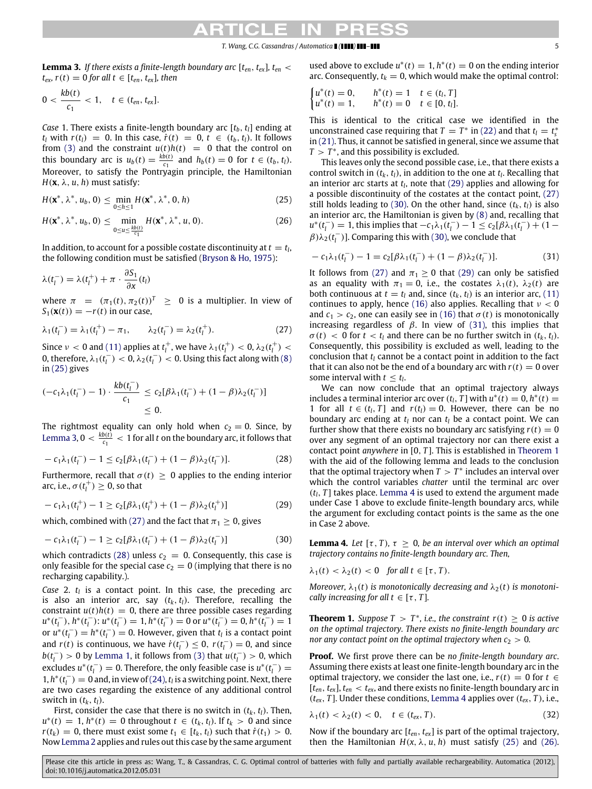### *T. Wang, C.G. Cassandras / Automatica ( ) –* 5

<span id="page-4-1"></span>**Lemma 3.** *If there exists a finite-length boundary arc*  $[t_{en}, t_{ex}]$ *,*  $t_{en}$  $t_{ex}$ *,*  $r(t) = 0$  *for all*  $t \in [t_{en}, t_{ex}]$ *, then* 

$$
0 < \frac{kb(t)}{c_1} < 1, \quad t \in (t_{en}, t_{ex}].
$$

*Case* 1. There exists a finite-length boundary arc [*tb*, *tl*] ending at *t*<sub>*l*</sub> with  $r(t_l) = 0$ . In this case,  $\dot{r}(t) = 0$ ,  $t \in (t_b, t_l)$ . It follows from [\(3\)](#page-2-11) and the constraint  $u(t)h(t) = 0$  that the control on this boundary arc is  $u_b(t) = \frac{kb(t)}{C_1}$  $\frac{b(t)}{c_1}$  and  $h_b(t) = 0$  for  $t \in (t_b, t_l)$ . Moreover, to satisfy the Pontryagin principle, the Hamiltonian  $H(\mathbf{x}, \lambda, u, h)$  must satisfy:

$$
H(\mathbf{x}^*, \lambda^*, u_b, 0) \le \min_{0 \le h \le 1} H(\mathbf{x}^*, \lambda^*, 0, h) \tag{25}
$$

$$
H(\mathbf{x}^*, \lambda^*, u_b, 0) \leq \min_{0 \leq u \leq \frac{k b(t)}{c_1}} H(\mathbf{x}^*, \lambda^*, u, 0).
$$
 (26)

In addition, to account for a possible costate discontinuity at  $t = t_l$ , the following condition must be satisfied [\(Bryson](#page-7-8) [&](#page-7-8) [Ho,](#page-7-8) [1975\)](#page-7-8):

$$
\lambda(t_l^-) = \lambda(t_l^+) + \pi \cdot \frac{\partial S_1}{\partial x}(t_l)
$$

where  $\pi = (\pi_1(t), \pi_2(t))^T \geq 0$  is a multiplier. In view of  $S_1(\mathbf{x}(t)) = -r(t)$  in our case,

$$
\lambda_1(t_l^-) = \lambda_1(t_l^+) - \pi_1, \qquad \lambda_2(t_l^-) = \lambda_2(t_l^+). \tag{27}
$$

Since  $\nu < 0$  and [\(11\)](#page-2-6) applies at  $t_l^+$ , we have  $\lambda_1(t_l^+) < 0$ ,  $\lambda_2(t_l^+) <$ 0, therefore,  $\lambda_1(t_l^-) < 0$ ,  $\lambda_2(t_l^-) < 0$ . Using this fact along with  $(8)$ in [\(25\)](#page-4-0) gives

$$
(-c_1\lambda_1(t_l^-) - 1) \cdot \frac{kb(t_l^-)}{c_1} \le c_2[\beta\lambda_1(t_l^-) + (1-\beta)\lambda_2(t_l^-)]
$$
  

$$
\le 0.
$$

The rightmost equality can only hold when  $c_2 = 0$ . Since, by [Lemma 3,](#page-4-1) 0  $< \frac{kb(t)}{C}$  $\frac{p(t)}{c_1}$  < 1 for all *t* on the boundary arc, it follows that

$$
- c_1 \lambda_1(t_l^-) - 1 \le c_2 [\beta \lambda_1(t_l^-) + (1 - \beta) \lambda_2(t_l^-)]. \tag{28}
$$

Furthermore, recall that  $\sigma(t) \geq 0$  applies to the ending interior arc, i.e.,  $\sigma(t_l^+) \geq 0$ , so that

$$
- c_1 \lambda_1(t_l^+) - 1 \ge c_2 [\beta \lambda_1(t_l^+) + (1 - \beta) \lambda_2(t_l^+)] \tag{29}
$$

which, combined with [\(27\)](#page-4-2) and the fact that  $\pi_1 \geq 0$ , gives

$$
-c_1\lambda_1(t_l^-) - 1 \ge c_2[\beta\lambda_1(t_l^-) + (1-\beta)\lambda_2(t_l^-)] \tag{30}
$$

which contradicts [\(28\)](#page-4-3) unless  $c_2 = 0$ . Consequently, this case is only feasible for the special case  $c_2 = 0$  (implying that there is no recharging capability.).

*Case* 2. *t<sup>l</sup>* is a contact point. In this case, the preceding arc is also an interior arc, say  $(t_k, t_l)$ . Therefore, recalling the constraint  $u(t)h(t) = 0$ , there are three possible cases regarding  $u^*(t_l^-), h^*(t_l^-): u^*(t_l^-) = 1, h^*(t_l^-) = 0$  or  $u^*(t_l^-) = 0, h^*(t_l^-) = 1$ or  $u^*(t_l^-) = h^*(t_l^-) = 0$ . However, given that  $t_l$  is a contact point and *r*(*t*) is continuous, we have  $\dot{r}(t_{\parallel}) \leq 0$ ,  $r(t_{\parallel}) = 0$ , and since  $b(t_l^-) > 0$  by [Lemma 1,](#page-2-13) it follows from [\(3\)](#page-2-11) that  $u(t_l^-) > 0$ , which excludes  $u^*(t_l^-) = 0$ . Therefore, the only feasible case is  $u^*(t_l^-) =$  $1, h^*(t_l^-) = 0$  and, in view of [\(24\),](#page-3-4)  $t_l$  is a switching point. Next, there are two cases regarding the existence of any additional control switch in  $(t_k, t_l)$ .

First, consider the case that there is no switch in  $(t_k, t_l)$ . Then, *u*<sup>∗</sup>(*t*) = 1, *h*<sup>∗</sup>(*t*) = 0 throughout *t* ∈ (*t<sub>k</sub>*, *t*<sub>*l*</sub>). If *t*<sub>*k*</sub> > 0 and since *r*( $t_k$ ) = 0, there must exist some  $t_1 \in [t_k, t_l)$  such that  $\dot{r}(t_1) > 0$ . Now [Lemma 2](#page-3-3) applies and rules out this case by the same argument

used above to exclude  $u^*(t) = 1$ ,  $h^*(t) = 0$  on the ending interior arc. Consequently,  $t_k = 0$ , which would make the optimal control:

$$
\begin{cases} u^*(t) = 0, & h^*(t) = 1 & t \in (t_l, T] \\ u^*(t) = 1, & h^*(t) = 0 & t \in [0, t_l]. \end{cases}
$$

This is identical to the critical case we identified in the unconstrained case requiring that  $T = T^*$  in [\(22\)](#page-3-2) and that  $t_l = t_s^*$ in [\(21\).](#page-3-5) Thus, it cannot be satisfied in general, since we assume that  $T > T^*$ , and this possibility is excluded.

<span id="page-4-0"></span>This leaves only the second possible case, i.e., that there exists a control switch in  $(t_k, t_l)$ , in addition to the one at  $t_l$ . Recalling that an interior arc starts at  $t_l$ , note that [\(29\)](#page-4-4) applies and allowing for a possible discontinuity of the costates at the contact point, [\(27\)](#page-4-2) still holds leading to [\(30\).](#page-4-5) On the other hand, since  $(t_k, t_l)$  is also an interior arc, the Hamiltonian is given by [\(8\)](#page-2-5) and, recalling that  $u^*(t_l^-) = 1$ , this implies that  $-c_1\lambda_1(t_l^-) - 1 \le c_2[\beta\lambda_1(t_l^-) + (1-\beta\lambda_2)$  $\beta\lambda_2(t_l^-)$ ]. Comparing this with [\(30\),](#page-4-5) we conclude that

<span id="page-4-9"></span>
$$
-c_1\lambda_1(t_l^-) - 1 = c_2[\beta\lambda_1(t_l^-) + (1-\beta)\lambda_2(t_l^-)].
$$
\n(31)

<span id="page-4-2"></span>It follows from [\(27\)](#page-4-2) and  $\pi_1 \geq 0$  that [\(29\)](#page-4-4) can only be satisfied as an equality with  $\pi_1 = 0$ , i.e., the costates  $\lambda_1(t)$ ,  $\lambda_2(t)$  are both continuous at  $t = t_l$  and, since  $(t_k, t_l)$  is an interior arc, [\(11\)](#page-2-6) continues to apply, hence [\(16\)](#page-2-9) also applies. Recalling that  $v < 0$ and  $c_1 > c_2$ , one can easily see in [\(16\)](#page-2-9) that  $\sigma(t)$  is monotonically increasing regardless of  $β$ . In view of [\(31\),](#page-4-6) this implies that  $\sigma(t)$  < 0 for  $t < t_l$  and there can be no further switch in  $(t_k, t_l)$ . Consequently, this possibility is excluded as well, leading to the conclusion that  $t_l$  cannot be a contact point in addition to the fact that it can also not be the end of a boundary arc with  $r(t) = 0$  over some interval with  $t \leq t_l$ .

<span id="page-4-3"></span>We can now conclude that an optimal trajectory always includes a terminal interior arc over  $(t_l, T]$  with  $u^*(t) = 0$ ,  $h^*(t) =$ 1 for all  $t \in (t_l, T]$  and  $r(t_l) = 0$ . However, there can be no boundary arc ending at  $t_l$  nor can  $t_l$  be a contact point. We can further show that there exists no boundary arc satisfying  $r(t) = 0$ over any segment of an optimal trajectory nor can there exist a contact point *anywhere* in [0, *T* ]. This is established in [Theorem 1](#page-4-7) with the aid of the following lemma and leads to the conclusion that the optimal trajectory when  $T > T^*$  includes an interval over which the control variables *chatter* until the terminal arc over  $(t_l, T]$  takes place. [Lemma 4](#page-4-8) is used to extend the argument made under Case 1 above to exclude finite-length boundary arcs, while the argument for excluding contact points is the same as the one in Case 2 above.

<span id="page-4-8"></span><span id="page-4-5"></span><span id="page-4-4"></span>**Lemma 4.** Let  $[\tau, T)$ ,  $\tau \geq 0$ , be an interval over which an optimal *trajectory contains no finite-length boundary arc. Then,*

$$
\lambda_1(t) < \lambda_2(t) < 0 \quad \text{for all } t \in [\tau, T).
$$

*Moreover,*  $\lambda_1(t)$  *is monotonically decreasing and*  $\lambda_2(t)$  *is monotonically increasing for all t*  $\in$  [ $\tau$ , *T*].

<span id="page-4-7"></span>**Theorem 1.** *Suppose*  $T > T^*$ *, i.e., the constraint*  $r(t) \ge 0$  *is active on the optimal trajectory. There exists no finite-length boundary arc nor any contact point on the optimal trajectory when*  $c_2 > 0$ *.* 

**Proof.** We first prove there can be *no finite-length boundary arc*. Assuming there exists at least one finite-length boundary arc in the optimal trajectory, we consider the last one, i.e.,  $r(t) = 0$  for  $t \in$  $[t_{en}, t_{ex}]$ ,  $t_{en} < t_{ex}$ , and there exists no finite-length boundary arc in  $(t_{ex}, T]$ . Under these conditions, [Lemma 4](#page-4-8) applies over  $(t_{ex}, T)$ , i.e.,

<span id="page-4-10"></span>
$$
\lambda_1(t) < \lambda_2(t) < 0, \quad t \in (t_{\text{ex}}, T). \tag{32}
$$

Now if the boundary arc [*ten*, *tex*] is part of the optimal trajectory, then the Hamiltonian  $H(x, \lambda, u, h)$  must satisfy [\(25\)](#page-4-0) and [\(26\).](#page-4-9)

<span id="page-4-6"></span>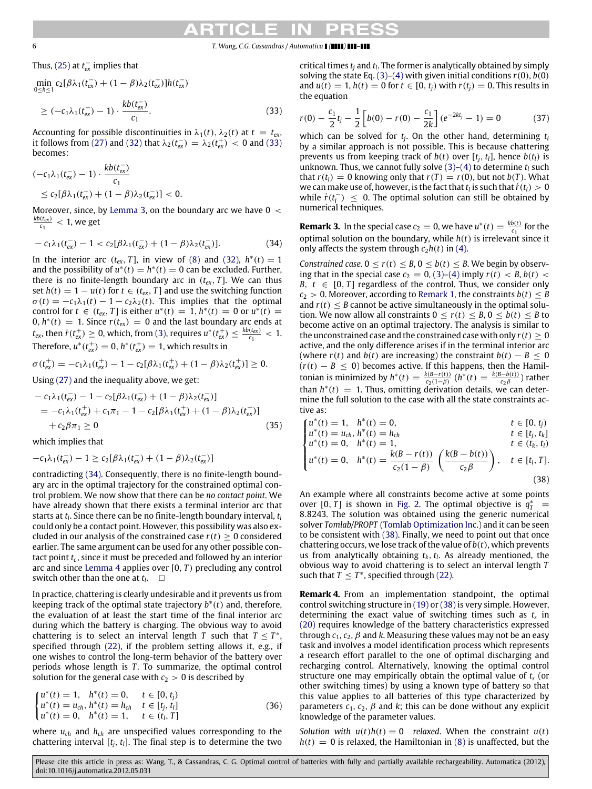## EK CH

### 6 *T. Wang, C.G. Cassandras / Automatica ( ) –*

Thus,  $(25)$  at  $t_{ex}^-$  implies that

$$
\min_{0 \le h \le 1} c_2 [\beta \lambda_1(t_{\text{ex}}^-) + (1 - \beta) \lambda_2(t_{\text{ex}}^-)] h(t_{\text{ex}}^-)
$$
\n
$$
\ge (-c_1 \lambda_1(t_{\text{ex}}^-) - 1) \cdot \frac{k b(t_{\text{ex}}^-)}{c_1}.
$$
\n(33)

Accounting for possible discontinuities in  $\lambda_1(t)$ ,  $\lambda_2(t)$  at  $t = t_{ex}$ , it follows from [\(27\)](#page-4-2) and [\(32\)](#page-4-10) that  $\lambda_2(t_{ex}^-) = \lambda_2(t_{ex}^+) < 0$  and [\(33\)](#page-5-0) becomes:

$$
\begin{aligned} &(-c_1\lambda_1(t_{\text{ex}}^-) - 1) \cdot \frac{kb(t_{\text{ex}}^-)}{c_1} \\ &\le c_2[\beta\lambda_1(t_{\text{ex}}^-) + (1-\beta)\lambda_2(t_{\text{ex}}^-)] < 0. \end{aligned}
$$

Moreover, since, by [Lemma 3,](#page-4-1) on the boundary arc we have  $0 <$  $\frac{kb(t_{ex})}{c_1}$  < 1, we get

$$
-c_1\lambda_1(t_{ex}^-) - 1 < c_2[\beta\lambda_1(t_{ex}^-) + (1-\beta)\lambda_2(t_{ex}^-)].
$$
\n(34)

In the interior arc  $(t_{ex}, T]$ , in view of [\(8\)](#page-2-5) and [\(32\),](#page-4-10)  $h^*(t) = 1$ and the possibility of  $u^*(t) = h^*(t) = 0$  can be excluded. Further, there is no finite-length boundary arc in  $(t_{ex}, T]$ . We can thus set  $h(t) = 1 - u(t)$  for  $t \in (t_{ex}, T]$  and use the switching function  $\sigma(t) = -c_1\lambda_1(t) - 1 - c_2\lambda_2(t)$ . This implies that the optimal control for  $t \in (t_{ex}, T]$  is either  $u^*(t) = 1$ ,  $h^*(t) = 0$  or  $u^*(t) = 0$  $0, h^*(t) = 1$ . Since  $r(t_{ex}) = 0$  and the last boundary arc ends at  $t_{ex}$ , then  $\dot{r}(t_{ex}^+) \geq 0$ , which, from [\(3\),](#page-2-11) requires  $u^*(t_{ex}^+) \leq \frac{kb(t_{ex})}{c_1} < 1$ . Therefore,  $u^*(t_{ex}^+) = 0$ ,  $h^*(t_{ex}^+) = 1$ , which results in

$$
\sigma(t_{\text{ex}}^+) = -c_1 \lambda_1(t_{\text{ex}}^+) - 1 - c_2[\beta \lambda_1(t_{\text{ex}}^+) + (1 - \beta) \lambda_2(t_{\text{ex}}^+) ] \geq 0.
$$

Using [\(27\)](#page-4-2) and the inequality above, we get:

$$
- c_1 \lambda_1(t_{ex}^-) - 1 - c_2[\beta \lambda_1(t_{ex}^-) + (1 - \beta) \lambda_2(t_{ex}^-)]
$$
  
=  $-c_1 \lambda_1(t_{ex}^+) + c_1 \pi_1 - 1 - c_2[\beta \lambda_1(t_{ex}^+) + (1 - \beta) \lambda_2(t_{ex}^+)]$   
+  $c_2 \beta \pi_1 \ge 0$  (35)

which implies that

$$
-c_1\lambda_1(t_{ex}^-) - 1 \ge c_2[\beta\lambda_1(t_{ex}^-) + (1-\beta)\lambda_2(t_{ex}^-)]
$$

contradicting [\(34\).](#page-5-1) Consequently, there is no finite-length boundary arc in the optimal trajectory for the constrained optimal control problem. We now show that there can be *no contact point*. We have already shown that there exists a terminal interior arc that starts at *t<sup>l</sup>* . Since there can be no finite-length boundary interval, *t<sup>l</sup>* could only be a contact point. However, this possibility was also excluded in our analysis of the constrained case  $r(t) > 0$  considered earlier. The same argument can be used for any other possible contact point *t<sup>c</sup>* , since it must be preceded and followed by an interior arc and since [Lemma 4](#page-4-8) applies over [0, *T* ) precluding any control switch other than the one at  $t_l$ .  $\Box$ 

In practice, chattering is clearly undesirable and it prevents us from keeping track of the optimal state trajectory *b* ∗ (*t*) and, therefore, the evaluation of at least the start time of the final interior arc during which the battery is charging. The obvious way to avoid chattering is to select an interval length *T* such that  $T \leq T^*$ , specified through [\(22\),](#page-3-2) if the problem setting allows it, e.g., if one wishes to control the long-term behavior of the battery over periods whose length is *T*. To summarize, the optimal control solution for the general case with  $c_2 > 0$  is described by

$$
\begin{cases}\nu^*(t) = 1, & h^*(t) = 0, \quad t \in [0, t_j) \\
u^*(t) = u_{ch}, h^*(t) = h_{ch}, & t \in [t_j, t_l] \\
u^*(t) = 0, & h^*(t) = 1, \quad t \in (t_l, T]\n\end{cases}
$$
\n(36)

where *uch* and *hch* are unspecified values corresponding to the chattering interval  $[t_j, t_l]$ . The final step is to determine the two critical times *t<sup>j</sup>* and *t<sup>l</sup>* . The former is analytically obtained by simply solving the state Eq.  $(3)-(4)$  $(3)-(4)$  with given initial conditions  $r(0)$ ,  $b(0)$ and  $u(t) = 1$ ,  $h(t) = 0$  for  $t \in [0, t_i)$  with  $r(t_i) = 0$ . This results in the equation

<span id="page-5-0"></span>
$$
r(0) - \frac{c_1}{2}t_j - \frac{1}{2}\left[b(0) - r(0) - \frac{c_1}{2k}\right](e^{-2kt_j} - 1) = 0 \tag{37}
$$

which can be solved for *t<sup>j</sup>* . On the other hand, determining *t<sup>l</sup>* by a similar approach is not possible. This is because chattering prevents us from keeping track of  $b(t)$  over  $[t_i, t_l]$ , hence  $b(t_l)$  is unknown. Thus, we cannot fully solve  $(3)-(4)$  $(3)-(4)$  to determine  $t_l$  such that  $r(t_l) = 0$  knowing only that  $r(T) = r(0)$ , but not  $b(T)$ . What we can make use of, however, is the fact that  $t_l$  is such that  $\dot{r}(t_l) > 0$ while  $\dot{r}(t_l^-) \leq 0$ . The optimal solution can still be obtained by numerical techniques.

<span id="page-5-3"></span><span id="page-5-1"></span>**Remark 3.** In the special case  $c_2 = 0$ , we have  $u^*(t) = \frac{kb(t)}{ct}$  $\frac{p(t)}{c_1}$  for the optimal solution on the boundary, while  $h(t)$  is irrelevant since it only affects the system through  $c_2h(t)$  in [\(4\).](#page-2-12)

*Constrained case.*  $0 < r(t) < B$ ,  $0 < b(t) < B$ . We begin by observing that in the special case  $c_2 = 0$ , [\(3\)–](#page-2-11)[\(4\)](#page-2-12) imply  $r(t) < B$ ,  $b(t) <$ *B*,  $t \in [0, T]$  regardless of the control. Thus, we consider only  $c_2 > 0$ . Moreover, according to [Remark 1,](#page-2-14) the constraints  $b(t) \leq B$ and  $r(t) \leq B$  cannot be active simultaneously in the optimal solution. We now allow all constraints  $0 < r(t) < B$ ,  $0 < b(t) < B$  to become active on an optimal trajectory. The analysis is similar to the unconstrained case and the constrained case with only  $r(t) \geq 0$ active, and the only difference arises if in the terminal interior arc (where  $r(t)$  and  $b(t)$  are increasing) the constraint  $b(t) - B \leq 0$  $(r(t) - B \le 0)$  becomes active. If this happens, then the Hamiltonian is minimized by  $h^*(t) = \frac{k(B-r(t))}{c_2(1-\beta)} (h^*(t)) = \frac{k(B-b(t))}{c_2\beta}$  $\frac{\partial^2 D(t)}{\partial x^2}$ ) rather than  $h^*(t) = 1$ . Thus, omitting derivation details, we can determine the full solution to the case with all the state constraints active as:

$$
u^*(t) = 1, \quad h^*(t) = 0, \qquad t \in [0, t_j)
$$

$$
u^*(t) = u_{ch}, h^*(t) = h_{ch}
$$
  
\n
$$
u^*(t) = 0, \quad h^*(t) = 1.
$$
  
\n
$$
t \in (t_i, t_i)
$$
  
\n
$$
t \in (t_i, t_i)
$$

$$
\begin{cases}\nu^*(t) = 0, & h^*(t) = 1, \\
u^*(t) = 0, & h^*(t) = \frac{k(B - r(t))}{c_2(1 - \beta)} \left(\frac{k(B - b(t))}{c_2 \beta}\right), & t \in [t_l, T]\n\end{cases}
$$

<span id="page-5-2"></span>
$$
u^*(t) = 0, \quad h^*(t) = \frac{k(B - r(t))}{c_2(1 - \beta)} \left( \frac{k(B - b(t))}{c_2 \beta} \right), \quad t \in [t_l, T].
$$
\n(38)

An example where all constraints become active at some points over [0,  $\hat{T}$ ] is shown in [Fig. 2.](#page-6-1) The optimal objective is  $q_T^*$  = 8.8243. The solution was obtained using the generic numerical solver *Tomlab/PROPT* [\(Tomlab Optimization](#page-8-21) [Inc.\)](#page-8-21) and it can be seen to be consistent with [\(38\).](#page-5-2) Finally, we need to point out that once chattering occurs, we lose track of the value of *b*(*t*), which prevents us from analytically obtaining  $t_k$ ,  $t_l$ . As already mentioned, the obvious way to avoid chattering is to select an interval length *T* such that  $T \leq T^*$ , specified through [\(22\).](#page-3-2)

**Remark 4.** From an implementation standpoint, the optimal control switching structure in [\(19\)](#page-3-6) or [\(38\)](#page-5-2) is very simple. However, determining the exact value of switching times such as *t<sup>s</sup>* in [\(20\)](#page-3-1) requires knowledge of the battery characteristics expressed through  $c_1$ ,  $c_2$ ,  $\beta$  and  $k$ . Measuring these values may not be an easy task and involves a model identification process which represents a research effort parallel to the one of optimal discharging and recharging control. Alternatively, knowing the optimal control structure one may empirically obtain the optimal value of *t<sup>s</sup>* (or other switching times) by using a known type of battery so that this value applies to all batteries of this type characterized by parameters  $c_1$ ,  $c_2$ ,  $\beta$  and  $k$ ; this can be done without any explicit knowledge of the parameter values.

*Solution with*  $u(t)h(t) = 0$  *relaxed*. When the constraint  $u(t)$  $h(t) = 0$  is relaxed, the Hamiltonian in [\(8\)](#page-2-5) is unaffected, but the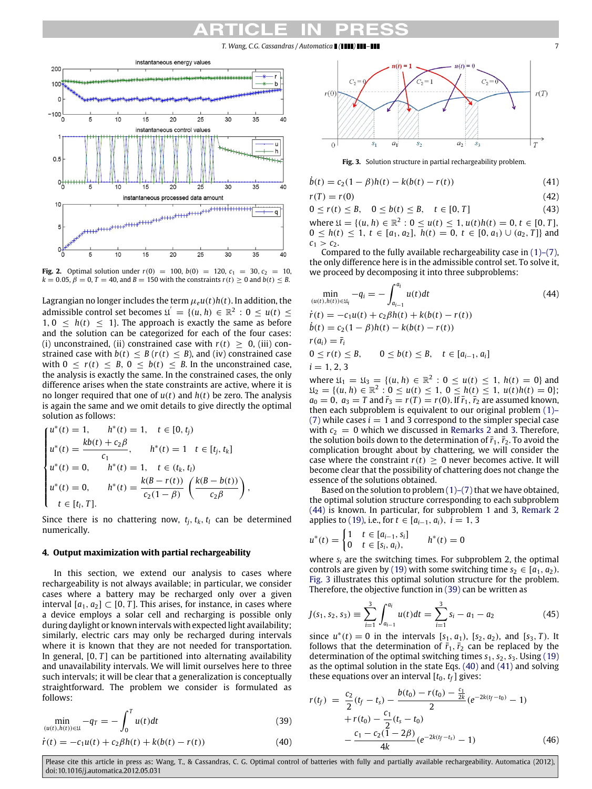*T. Wang, C.G. Cassandras / Automatica ( ) –* 7

<span id="page-6-1"></span>

**Fig. 2.** Optimal solution under  $r(0) = 100$ ,  $b(0) = 120$ ,  $c_1 = 30$ ,  $c_2 = 10$ ,  $k = 0.05$ ,  $\beta = 0$ ,  $T = 40$ , and  $B = 150$  with the constraints  $r(t) \ge 0$  and  $b(t) \le B$ .

Lagrangian no longer includes the term  $\mu_e u(t)h(t)$ . In addition, the admissible control set becomes  $\mathfrak{U}' = \{ (u, h) \in \mathbb{R}^2 : 0 \le u(t) \le$  $1, 0 \leq h(t) \leq 1$ . The approach is exactly the same as before and the solution can be categorized for each of the four cases: (i) unconstrained, (ii) constrained case with  $r(t) \geq 0$ , (iii) constrained case with  $b(t) \leq B(r(t) \leq B)$ , and (iv) constrained case with  $0 \le r(t) \le B$ ,  $0 \le b(t) \le B$ . In the unconstrained case, the analysis is exactly the same. In the constrained cases, the only difference arises when the state constraints are active, where it is no longer required that one of  $u(t)$  and  $h(t)$  be zero. The analysis is again the same and we omit details to give directly the optimal solution as follows:

$$
\begin{cases}\nu^*(t) = 1, & h^*(t) = 1, \quad t \in [0, t_j) \\
u^*(t) = \frac{kb(t) + c_2\beta}{c_1}, & h^*(t) = 1 \quad t \in [t_j, t_k] \\
u^*(t) = 0, & h^*(t) = 1, \quad t \in (t_k, t_l) \\
u^*(t) = 0, & h^*(t) = \frac{k(B - r(t))}{c_2(1 - \beta)} \left(\frac{k(B - b(t))}{c_2\beta}\right), \\
t \in [t_l, T].\n\end{cases}
$$

Since there is no chattering now,  $t_i$ ,  $t_k$ ,  $t_l$  can be determined numerically.

### <span id="page-6-0"></span>**4. Output maximization with partial rechargeability**

In this section, we extend our analysis to cases where rechargeability is not always available; in particular, we consider cases where a battery may be recharged only over a given interval  $[a_1, a_2] \subset [0, T]$ . This arises, for instance, in cases where a device employs a solar cell and recharging is possible only during daylight or known intervals with expected light availability; similarly, electric cars may only be recharged during intervals where it is known that they are not needed for transportation. In general,  $[0, T]$  can be partitioned into alternating availability and unavailability intervals. We will limit ourselves here to three such intervals; it will be clear that a generalization is conceptually straightforward. The problem we consider is formulated as follows:

$$
\min_{(u(t),h(t))\in\mathfrak{U}} -q_T = -\int_0^T u(t)dt\tag{39}
$$

$$
\dot{r}(t) = -c_1 u(t) + c_2 \beta h(t) + k(b(t) - r(t))
$$
\n(40)

<span id="page-6-3"></span>

<span id="page-6-6"></span>**Fig. 3.** Solution structure in partial rechargeability problem.

$$
\dot{b}(t) = c_2(1 - \beta)h(t) - k(b(t) - r(t))
$$
\n(41)

$$
r(T) = r(0) \tag{42}
$$

 $0 \le r(t) \le B$ ,  $0 \le b(t) \le B$ ,  $t \in [0, T]$  (43) where  $\mathfrak{U} = \{ (u, h) \in \mathbb{R}^2 : 0 \le u(t) \le 1, u(t)h(t) = 0, t \in [0, T],$ 0 ≤ *h*(*t*) ≤ 1, *t* ∈ [*a*<sub>1</sub>, *a*<sub>2</sub>], *h*(*t*) = 0, *t* ∈ [0, *a*<sub>1</sub>) ∪ (*a*<sub>2</sub>, *T*]} and  $c_1 > c_2$ .

Compared to the fully available rechargeability case in  $(1)$ – $(7)$ , the only difference here is in the admissible control set. To solve it, we proceed by decomposing it into three subproblems:

<span id="page-6-2"></span>
$$
\min_{(u(t), h(t)) \in \mathfrak{U}_i} -q_i = -\int_{a_{i-1}}^{a_i} u(t)dt
$$
\n
$$
\dot{r}(t) = -c_1 u(t) + c_2 \beta h(t) + k(b(t) - r(t))
$$
\n
$$
\dot{b}(t) = c_2 (1 - \beta) h(t) - k(b(t) - r(t))
$$
\n
$$
r(a_i) = \overline{r}_i
$$
\n
$$
0 \le r(t) \le B, \quad 0 \le b(t) \le B, \quad t \in [a_{i-1}, a_i]
$$
\n
$$
i = 1, 2, 3
$$
\nwhere  $\mathfrak{U}_i = \mathfrak{U}_i - \mathfrak{U}_i$ ,  $b \in \mathbb{R}^2 : 0 \le u(t) \le 1, h(t) = 0$ , and

where  $\mathfrak{U}_1 = \mathfrak{U}_3 = \{ (u, h) \in \mathbb{R}^2 \}$ : 0 ≤ *u*(*t*) ≤ 1, *h*(*t*) = 0} and  $\mathfrak{U}_2 = \{ (u, h) \in \mathbb{R}^2 : 0 \le u(t) \le 1, 0 \le h(t) \le 1, u(t)h(t) = 0 \};$  $a_0 = 0$ ,  $a_3 = T$  and  $\bar{r}_3 = r(T) = r(0)$ . If  $\bar{r}_1$ ,  $\bar{r}_2$  are assumed known, [t](#page-1-3)hen each subproblem is equivalent to our original problem [\(1\)–](#page-1-3) [\(7\)](#page-1-3) while cases  $i = 1$  and 3 correspond to the simpler special case with  $c_2 = 0$  which we discussed in [Remarks 2](#page-3-7) and [3.](#page-5-3) Therefore, the solution boils down to the determination of  $\bar{r}_1$ ,  $\bar{r}_2$ . To avoid the complication brought about by chattering, we will consider the case where the constraint  $r(t) > 0$  never becomes active. It will become clear that the possibility of chattering does not change the essence of the solutions obtained.

Based on the solution to problem  $(1)-(7)$  that we have obtained, the optimal solution structure corresponding to each subproblem [\(44\)](#page-6-2) is known. In particular, for subproblem 1 and 3, [Remark 2](#page-3-7) applies to [\(19\),](#page-3-6) i.e., for *t* ∈  $[a_{i-1}, a_i)$ , *i* = 1, 3

$$
u^*(t) = \begin{cases} 1 & t \in [a_{i-1}, s_i] \\ 0 & t \in [s_i, a_i), \end{cases} \qquad h^*(t) = 0
$$

where *s<sup>i</sup>* are the switching times. For subproblem 2, the optimal controls are given by [\(19\)](#page-3-6) with some switching time  $s_2 \in [a_1, a_2)$ . [Fig. 3](#page-6-3) illustrates this optimal solution structure for the problem. Therefore, the objective function in [\(39\)](#page-6-4) can be written as

<span id="page-6-8"></span>
$$
J(s_1, s_2, s_3) \equiv \sum_{i=1}^3 \int_{a_{i-1}}^{a_i} u(t)dt = \sum_{i=1}^3 s_i - a_1 - a_2 \tag{45}
$$

since  $u^*(t) = 0$  in the intervals  $[s_1, a_1)$ ,  $[s_2, a_2)$ , and  $[s_3, T)$ . It follows that the determination of  $\bar{r}_1$ ,  $\bar{r}_2$  can be replaced by the determination of the optimal switching times  $s_1$ ,  $s_2$ ,  $s_3$ . Using [\(19\)](#page-3-6) as the optimal solution in the state Eqs. [\(40\)](#page-6-5) and [\(41\)](#page-6-6) and solving these equations over an interval  $[t_0, t_f]$  gives:

<span id="page-6-7"></span><span id="page-6-5"></span><span id="page-6-4"></span>
$$
r(t_f) = \frac{c_2}{2}(t_f - t_s) - \frac{b(t_0) - r(t_0) - \frac{c_1}{2k}}{2}(e^{-2k(t_f - t_0)} - 1) + r(t_0) - \frac{c_1}{2}(t_s - t_0) - \frac{c_1 - c_2(1 - 2\beta)}{4k}(e^{-2k(t_f - t_s)} - 1)
$$
(46)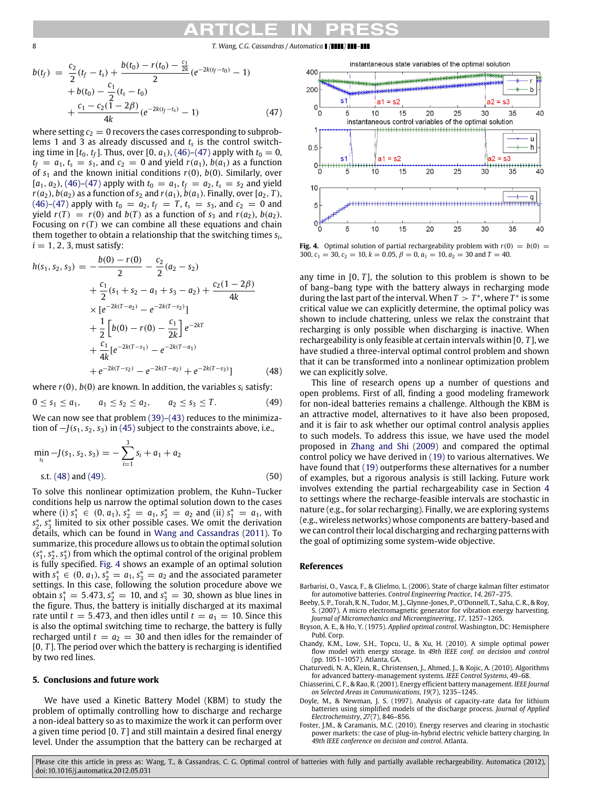8 *T. Wang, C.G. Cassandras / Automatica ( ) –*

$$
b(t_f) = \frac{c_2}{2}(t_f - t_s) + \frac{b(t_0) - r(t_0) - \frac{c_1}{2k}}{2}(e^{-2k(t_f - t_0)} - 1) + b(t_0) - \frac{c_1}{2}(t_s - t_0) + \frac{c_1 - c_2(1 - 2\beta)}{4k}(e^{-2k(t_f - t_s)} - 1)
$$
(47)

where setting  $c_2 = 0$  recovers the cases corresponding to subproblems 1 and 3 as already discussed and *t<sup>s</sup>* is the control switching time in  $[t_0, t_f]$ . Thus, over  $[0, a_1)$ ,  $(46)$ – $(47)$  apply with  $t_0 = 0$ ,  $t_f = a_1, t_s = s_1$ , and  $c_2 = 0$  and yield  $r(a_1)$ ,  $b(a_1)$  as a function of  $s_1$  and the known initial conditions  $r(0)$ ,  $b(0)$ . Similarly, over  $[a_1, a_2)$ , [\(46\)–](#page-6-7)[\(47\)](#page-7-9) apply with  $t_0 = a_1$ ,  $t_f = a_2$ ,  $t_s = s_2$  and yield  $r(a_2)$ ,  $b(a_2)$  as a function of  $s_2$  and  $r(a_1)$ ,  $b(a_1)$ . Finally, over [ $a_2$ , *T*),  $(46)-(47)$  $(46)-(47)$  apply with  $t_0 = a_2, t_f = T, t_s = s_3$ , and  $c_2 = 0$  and yield  $r(T) = r(0)$  and  $b(T)$  as a function of  $s_3$  and  $r(a_2)$ ,  $b(a_2)$ . Focusing on  $r(T)$  we can combine all these equations and chain them together to obtain a relationship that the switching times *s<sup>i</sup>* ,  $i = 1, 2, 3$ , must satisfy:

$$
h(s_1, s_2, s_3) = -\frac{b(0) - r(0)}{2} - \frac{c_2}{2}(a_2 - s_2)
$$
  
+  $\frac{c_1}{2}(s_1 + s_2 - a_1 + s_3 - a_2) + \frac{c_2(1 - 2\beta)}{4k}$   
×  $[e^{-2k(T - a_2)} - e^{-2k(T - s_2)}]$   
+  $\frac{1}{2} [b(0) - r(0) - \frac{c_1}{2k}] e^{-2kT}$   
+  $\frac{c_1}{4k} [e^{-2k(T - s_1)} - e^{-2k(T - a_1)} + e^{-2k(T - s_2)} - e^{-2k(T - a_2)} + e^{-2k(T - s_3)}]$  (48)

where  $r(0)$ ,  $b(0)$  are known. In addition, the variables  $s_i$  satisfy:

$$
0 \le s_1 \le a_1, \qquad a_1 \le s_2 \le a_2, \qquad a_2 \le s_3 \le T. \tag{49}
$$

We can now see that problem [\(39\)–\(43\)](#page-6-4) reduces to the minimization of  $-J(s_1, s_2, s_3)$  in [\(45\)](#page-6-8) subject to the constraints above, i.e.,

$$
\min_{s_i} -J(s_1, s_2, s_3) = -\sum_{i=1}^3 s_i + a_1 + a_2
$$
  
s.t. (48) and (49). (50)

To solve this nonlinear optimization problem, the Kuhn–Tucker conditions help us narrow the optimal solution down to the cases where (i)  $s_1^* \in (0, a_1), s_2^* = a_1, s_3^* = a_2$  and (ii)  $s_1^* = a_1$ , with *s* ∗ 2 , *s* ∗ 3 limited to six other possible cases. We omit the derivation details, which can be found in [Wang](#page-8-18) [and](#page-8-18) [Cassandras](#page-8-18) [\(2011\)](#page-8-18). To summarize, this procedure allows us to obtain the optimal solution (*s* ∗ 1 , *s* ∗ 2 , *s* ∗ 3 ) from which the optimal control of the original problem is fully specified. [Fig. 4](#page-7-12) shows an example of an optimal solution with  $s_1^* \in (0, a_1)$ ,  $s_2^* = a_1$ ,  $s_3^* = a_2$  and the associated parameter settings. In this case, following the solution procedure above we obtain  $s_1^* = 5.473$ ,  $s_2^* = 10$ , and  $s_3^* = 30$ , shown as blue lines in the figure. Thus, the battery is initially discharged at its maximal rate until  $t = 5.473$ , and then idles until  $t = a_1 = 10$ . Since this is also the optimal switching time to recharge, the battery is fully recharged until  $t = a_2 = 30$  and then idles for the remainder of [0, *T*]. The period over which the battery is recharging is identified by two red lines.

#### <span id="page-7-7"></span>**5. Conclusions and future work**

We have used a Kinetic Battery Model (KBM) to study the problem of optimally controlling how to discharge and recharge a non-ideal battery so as to maximize the work it can perform over a given time period [0, *T* ] and still maintain a desired final energy level. Under the assumption that the battery can be recharged at

<span id="page-7-12"></span><span id="page-7-9"></span>

**Fig. 4.** Optimal solution of partial rechargeability problem with  $r(0) = b(0) =$ 300,  $c_1 = 30$ ,  $c_2 = 10$ ,  $k = 0.05$ ,  $\beta = 0$ ,  $a_1 = 10$ ,  $a_2 = 30$  and  $T = 40$ .

any time in  $[0, T]$ , the solution to this problem is shown to be of bang–bang type with the battery always in recharging mode during the last part of the interval. When  $T > T^*$ , where  $T^*$  is some critical value we can explicitly determine, the optimal policy was shown to include chattering, unless we relax the constraint that recharging is only possible when discharging is inactive. When rechargeability is only feasible at certain intervals within [0, *T* ], we have studied a three-interval optimal control problem and shown that it can be transformed into a nonlinear optimization problem we can explicitly solve.

<span id="page-7-11"></span><span id="page-7-10"></span>This line of research opens up a number of questions and open problems. First of all, finding a good modeling framework for non-ideal batteries remains a challenge. Although the KBM is an attractive model, alternatives to it have also been proposed, and it is fair to ask whether our optimal control analysis applies to such models. To address this issue, we have used the model proposed in [Zhang](#page-8-13) [and](#page-8-13) [Shi](#page-8-13) [\(2009\)](#page-8-13) and compared the optimal control policy we have derived in [\(19\)](#page-3-6) to various alternatives. We have found that [\(19\)](#page-3-6) outperforms these alternatives for a number of examples, but a rigorous analysis is still lacking. Future work involves extending the partial rechargeability case in Section [4](#page-6-0) to settings where the recharge-feasible intervals are stochastic in nature (e.g., for solar recharging). Finally, we are exploring systems (e.g., wireless networks) whose components are battery-based and we can control their local discharging and recharging patterns with the goal of optimizing some system-wide objective.

#### **References**

- <span id="page-7-3"></span>Barbarisi, O., Vasca, F., & Glielmo, L. (2006). State of charge kalman filter estimator for automotive batteries. *Control Engineering Practice*, *14*, 267–275.
- <span id="page-7-5"></span>Beeby, S. P., Torah, R. N., Tudor, M. J., Glynne-Jones, P., O'Donnell, T., Saha, C. R., & Roy, S. (2007). A micro electromagnetic generator for vibration energy harvesting. *Journal of Micromechanics and Microengineering*, *17*, 1257–1265.
- <span id="page-7-8"></span>Bryson, A. E., & Ho, Y. (1975). *Applied optimal control*. Washington, DC: Hemisphere Publ. Corp.
- <span id="page-7-4"></span>Chandy, K.M., Low, S.H., Topcu, U., & Xu, H. (2010). A simple optimal power flow model with energy storage. In *49th IEEE conf. on decision and control* (pp. 1051–1057). Atlanta, GA.
- <span id="page-7-2"></span>Chaturvedi, N. A., Klein, R., Christensen, J., Ahmed, J., & Kojic, A. (2010). Algorithms for advanced battery-management systems. *IEEE Control Systems*, 49–68.
- <span id="page-7-0"></span>Chiasserini, C. F., & Rao, R. (2001). Energy efficient battery management. *IEEE Journal on Selected Areas in Communications*, *19*(7), 1235–1245.
- <span id="page-7-1"></span>Doyle, M., & Newman, J. S. (1997). Analysis of capacity-rate data for lithium batteries using simplified models of the discharge process. *Journal of Applied Electrochemistry*, *27*(7), 846–856.
- <span id="page-7-6"></span>Foster, J.M., & Caramanis, M.C. (2010). Energy reserves and clearing in stochastic power markets: the case of plug-in-hybrid electric vehicle battery charging. In *49th IEEE conference on decision and control*. Atlanta.